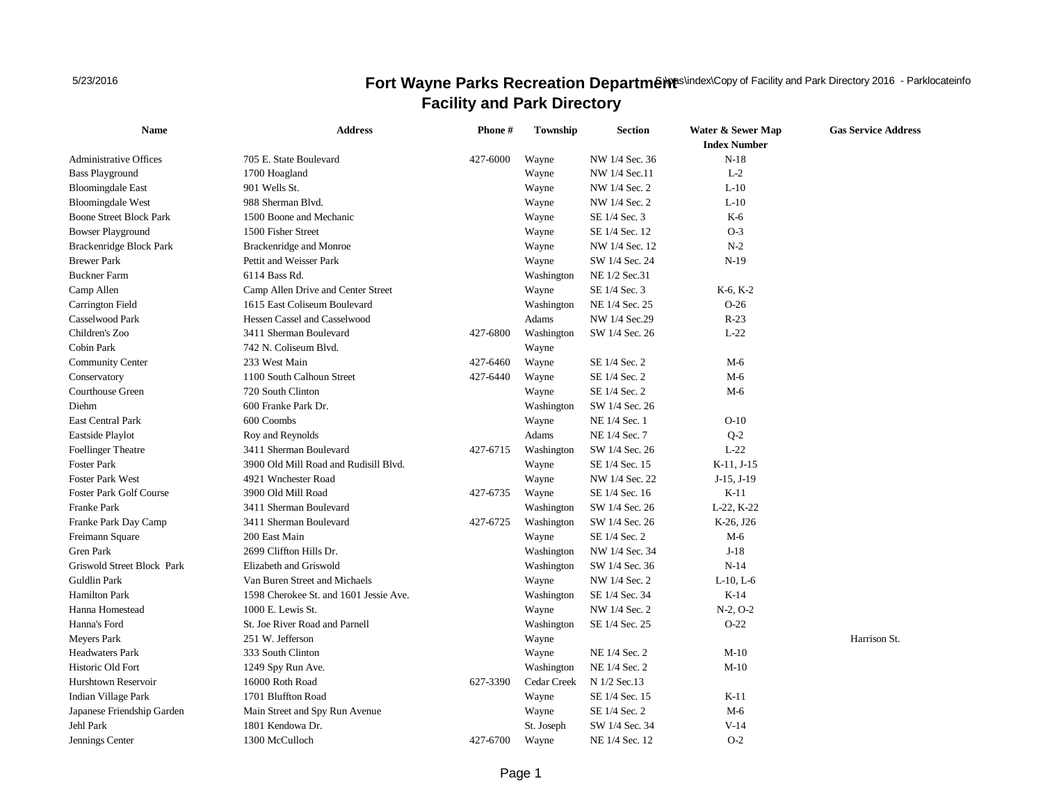5/23/2016

## **Fort Wayne Parks Recreation Department Copy of Facility and Park Directory 2016 - Parklocateinfo Facility and Park Directory**

| <b>Name</b>                    | <b>Address</b>                         | Phone #  | Township    | <b>Section</b> | Water & Sewer Map<br><b>Index Number</b> | <b>Gas Service Address</b> |
|--------------------------------|----------------------------------------|----------|-------------|----------------|------------------------------------------|----------------------------|
| <b>Administrative Offices</b>  | 705 E. State Boulevard                 | 427-6000 | Wayne       | NW 1/4 Sec. 36 | $N-18$                                   |                            |
| <b>Bass Playground</b>         | 1700 Hoagland                          |          | Wayne       | NW 1/4 Sec.11  | $L-2$                                    |                            |
| <b>Bloomingdale East</b>       | 901 Wells St.                          |          | Wayne       | NW 1/4 Sec. 2  | $L-10$                                   |                            |
| <b>Bloomingdale West</b>       | 988 Sherman Blvd.                      |          | Wayne       | NW 1/4 Sec. 2  | $L-10$                                   |                            |
| <b>Boone Street Block Park</b> | 1500 Boone and Mechanic                |          | Wayne       | SE 1/4 Sec. 3  | K-6                                      |                            |
| <b>Bowser Playground</b>       | 1500 Fisher Street                     |          | Wayne       | SE 1/4 Sec. 12 | $O-3$                                    |                            |
| Brackenridge Block Park        | Brackenridge and Monroe                |          | Wayne       | NW 1/4 Sec. 12 | $N-2$                                    |                            |
| <b>Brewer Park</b>             | Pettit and Weisser Park                |          | Wayne       | SW 1/4 Sec. 24 | $N-19$                                   |                            |
| <b>Buckner Farm</b>            | 6114 Bass Rd.                          |          | Washington  | NE 1/2 Sec.31  |                                          |                            |
| Camp Allen                     | Camp Allen Drive and Center Street     |          | Wayne       | SE 1/4 Sec. 3  | $K-6, K-2$                               |                            |
| Carrington Field               | 1615 East Coliseum Boulevard           |          | Washington  | NE 1/4 Sec. 25 | $O-26$                                   |                            |
| Casselwood Park                | Hessen Cassel and Casselwood           |          | Adams       | NW 1/4 Sec.29  | $R-23$                                   |                            |
| Children's Zoo                 | 3411 Sherman Boulevard                 | 427-6800 | Washington  | SW 1/4 Sec. 26 | $L-22$                                   |                            |
| Cobin Park                     | 742 N. Coliseum Blvd.                  |          | Wayne       |                |                                          |                            |
| <b>Community Center</b>        | 233 West Main                          | 427-6460 | Wayne       | SE 1/4 Sec. 2  | $M-6$                                    |                            |
| Conservatory                   | 1100 South Calhoun Street              | 427-6440 | Wayne       | SE 1/4 Sec. 2  | $M-6$                                    |                            |
| Courthouse Green               | 720 South Clinton                      |          | Wayne       | SE 1/4 Sec. 2  | $M-6$                                    |                            |
| Diehm                          | 600 Franke Park Dr.                    |          | Washington  | SW 1/4 Sec. 26 |                                          |                            |
| East Central Park              | 600 Coombs                             |          | Wayne       | NE 1/4 Sec. 1  | $O-10$                                   |                            |
| Eastside Playlot               | Roy and Reynolds                       |          | Adams       | NE 1/4 Sec. 7  | $Q-2$                                    |                            |
| <b>Foellinger Theatre</b>      | 3411 Sherman Boulevard                 | 427-6715 | Washington  | SW 1/4 Sec. 26 | $L-22$                                   |                            |
| <b>Foster Park</b>             | 3900 Old Mill Road and Rudisill Blvd.  |          | Wayne       | SE 1/4 Sec. 15 | $K-11, J-15$                             |                            |
| <b>Foster Park West</b>        | 4921 Wnchester Road                    |          | Wayne       | NW 1/4 Sec. 22 | $J-15, J-19$                             |                            |
| <b>Foster Park Golf Course</b> | 3900 Old Mill Road                     | 427-6735 | Wayne       | SE 1/4 Sec. 16 | $K-11$                                   |                            |
| Franke Park                    | 3411 Sherman Boulevard                 |          | Washington  | SW 1/4 Sec. 26 | L-22, K-22                               |                            |
| Franke Park Day Camp           | 3411 Sherman Boulevard                 | 427-6725 | Washington  | SW 1/4 Sec. 26 | K-26, J26                                |                            |
| Freimann Square                | 200 East Main                          |          | Wayne       | SE 1/4 Sec. 2  | $M-6$                                    |                            |
| <b>Gren Park</b>               | 2699 Cliffton Hills Dr.                |          | Washington  | NW 1/4 Sec. 34 | $J-18$                                   |                            |
| Griswold Street Block Park     | Elizabeth and Griswold                 |          | Washington  | SW 1/4 Sec. 36 | $N-14$                                   |                            |
| <b>Guldlin Park</b>            | Van Buren Street and Michaels          |          | Wayne       | NW 1/4 Sec. 2  | $L-10$ , $L-6$                           |                            |
| <b>Hamilton Park</b>           | 1598 Cherokee St. and 1601 Jessie Ave. |          | Washington  | SE 1/4 Sec. 34 | $K-14$                                   |                            |
| Hanna Homestead                | 1000 E. Lewis St.                      |          | Wayne       | NW 1/4 Sec. 2  | $N-2$ , $O-2$                            |                            |
| Hanna's Ford                   | St. Joe River Road and Parnell         |          | Washington  | SE 1/4 Sec. 25 | $O-22$                                   |                            |
| <b>Meyers Park</b>             | 251 W. Jefferson                       |          | Wayne       |                |                                          | Harrison St.               |
| <b>Headwaters Park</b>         | 333 South Clinton                      |          | Wayne       | NE 1/4 Sec. 2  | $M-10$                                   |                            |
| Historic Old Fort              | 1249 Spy Run Ave.                      |          | Washington  | NE 1/4 Sec. 2  | $M-10$                                   |                            |
| Hurshtown Reservoir            | 16000 Roth Road                        | 627-3390 | Cedar Creek | N 1/2 Sec.13   |                                          |                            |
| Indian Village Park            | 1701 Bluffton Road                     |          | Wayne       | SE 1/4 Sec. 15 | $K-11$                                   |                            |
| Japanese Friendship Garden     | Main Street and Spy Run Avenue         |          | Wayne       | SE 1/4 Sec. 2  | $M-6$                                    |                            |
| Jehl Park                      | 1801 Kendowa Dr.                       |          | St. Joseph  | SW 1/4 Sec. 34 | $V-14$                                   |                            |
| Jennings Center                | 1300 McCulloch                         | 427-6700 | Wayne       | NE 1/4 Sec. 12 | $O-2$                                    |                            |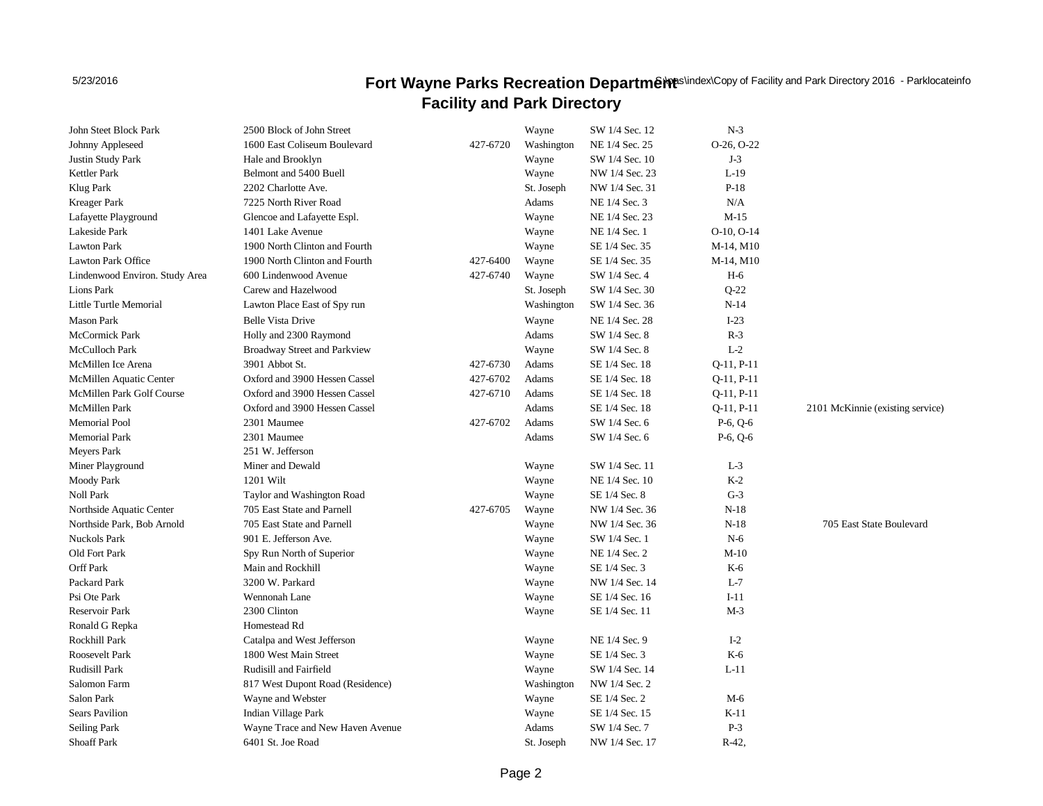5/23/2016

## **Fort Wayne Parks Recreation Department Copy of Facility and Park Directory 2016 - Parklocateinfo Facility and Park Directory**

| John Steet Block Park          | 2500 Block of John Street        |          | Wayne      | SW 1/4 Sec. 12 | $N-3$           |                                  |
|--------------------------------|----------------------------------|----------|------------|----------------|-----------------|----------------------------------|
| Johnny Appleseed               | 1600 East Coliseum Boulevard     | 427-6720 | Washington | NE 1/4 Sec. 25 | $O-26, O-22$    |                                  |
| Justin Study Park              | Hale and Brooklyn                |          | Wayne      | SW 1/4 Sec. 10 | $J-3$           |                                  |
| Kettler Park                   | Belmont and 5400 Buell           |          | Wayne      | NW 1/4 Sec. 23 | $L-19$          |                                  |
| Klug Park                      | 2202 Charlotte Ave.              |          | St. Joseph | NW 1/4 Sec. 31 | $P-18$          |                                  |
| Kreager Park                   | 7225 North River Road            |          | Adams      | NE 1/4 Sec. 3  | N/A             |                                  |
| Lafayette Playground           | Glencoe and Lafayette Espl.      |          | Wayne      | NE 1/4 Sec. 23 | $M-15$          |                                  |
| Lakeside Park                  | 1401 Lake Avenue                 |          | Wayne      | NE 1/4 Sec. 1  | $O-10$ , $O-14$ |                                  |
| <b>Lawton Park</b>             | 1900 North Clinton and Fourth    |          | Wayne      | SE 1/4 Sec. 35 | M-14, M10       |                                  |
| Lawton Park Office             | 1900 North Clinton and Fourth    | 427-6400 | Wayne      | SE 1/4 Sec. 35 | M-14, M10       |                                  |
| Lindenwood Environ. Study Area | 600 Lindenwood Avenue            | 427-6740 | Wayne      | SW 1/4 Sec. 4  | $H-6$           |                                  |
| Lions Park                     | Carew and Hazelwood              |          | St. Joseph | SW 1/4 Sec. 30 | $Q-22$          |                                  |
| Little Turtle Memorial         | Lawton Place East of Spy run     |          | Washington | SW 1/4 Sec. 36 | $N-14$          |                                  |
| Mason Park                     | <b>Belle Vista Drive</b>         |          | Wayne      | NE 1/4 Sec. 28 | $I-23$          |                                  |
| <b>McCormick Park</b>          | Holly and 2300 Raymond           |          | Adams      | SW 1/4 Sec. 8  | $R-3$           |                                  |
| McCulloch Park                 | Broadway Street and Parkview     |          | Wayne      | SW 1/4 Sec. 8  | $L-2$           |                                  |
| McMillen Ice Arena             | 3901 Abbot St.                   | 427-6730 | Adams      | SE 1/4 Sec. 18 | $Q-11, P-11$    |                                  |
| McMillen Aquatic Center        | Oxford and 3900 Hessen Cassel    | 427-6702 | Adams      | SE 1/4 Sec. 18 | $Q-11, P-11$    |                                  |
| McMillen Park Golf Course      | Oxford and 3900 Hessen Cassel    | 427-6710 | Adams      | SE 1/4 Sec. 18 | $Q-11, P-11$    |                                  |
| <b>McMillen Park</b>           | Oxford and 3900 Hessen Cassel    |          | Adams      | SE 1/4 Sec. 18 | $Q-11, P-11$    | 2101 McKinnie (existing service) |
| Memorial Pool                  | 2301 Maumee                      | 427-6702 | Adams      | SW 1/4 Sec. 6  | $P-6, Q-6$      |                                  |
| <b>Memorial Park</b>           | 2301 Maumee                      |          | Adams      | SW 1/4 Sec. 6  | $P-6, Q-6$      |                                  |
| Meyers Park                    | 251 W. Jefferson                 |          |            |                |                 |                                  |
| Miner Playground               | Miner and Dewald                 |          | Wayne      | SW 1/4 Sec. 11 | $L-3$           |                                  |
| <b>Moody Park</b>              | 1201 Wilt                        |          | Wayne      | NE 1/4 Sec. 10 | $K-2$           |                                  |
| Noll Park                      | Taylor and Washington Road       |          | Wayne      | SE 1/4 Sec. 8  | $G-3$           |                                  |
| Northside Aquatic Center       | 705 East State and Parnell       | 427-6705 | Wayne      | NW 1/4 Sec. 36 | $N-18$          |                                  |
| Northside Park, Bob Arnold     | 705 East State and Parnell       |          | Wayne      | NW 1/4 Sec. 36 | $N-18$          | 705 East State Boulevard         |
| <b>Nuckols Park</b>            | 901 E. Jefferson Ave.            |          | Wayne      | SW 1/4 Sec. 1  | $N-6$           |                                  |
| Old Fort Park                  | Spy Run North of Superior        |          | Wayne      | NE 1/4 Sec. 2  | $M-10$          |                                  |
| <b>Orff Park</b>               | Main and Rockhill                |          | Wayne      | SE 1/4 Sec. 3  | K-6             |                                  |
| Packard Park                   | 3200 W. Parkard                  |          | Wayne      | NW 1/4 Sec. 14 | $L-7$           |                                  |
| Psi Ote Park                   | Wennonah Lane                    |          | Wayne      | SE 1/4 Sec. 16 | $I-11$          |                                  |
| Reservoir Park                 | 2300 Clinton                     |          | Wayne      | SE 1/4 Sec. 11 | $M-3$           |                                  |
| Ronald G Repka                 | Homestead Rd                     |          |            |                |                 |                                  |
| Rockhill Park                  | Catalpa and West Jefferson       |          | Wayne      | NE 1/4 Sec. 9  | $I-2$           |                                  |
| Roosevelt Park                 | 1800 West Main Street            |          | Wayne      | SE 1/4 Sec. 3  | K-6             |                                  |
| <b>Rudisill Park</b>           | Rudisill and Fairfield           |          | Wayne      | SW 1/4 Sec. 14 | $L-11$          |                                  |
| Salomon Farm                   | 817 West Dupont Road (Residence) |          | Washington | NW 1/4 Sec. 2  |                 |                                  |
| Salon Park                     | Wayne and Webster                |          | Wayne      | SE 1/4 Sec. 2  | $M-6$           |                                  |
| <b>Sears Pavilion</b>          | Indian Village Park              |          | Wayne      | SE 1/4 Sec. 15 | K-11            |                                  |
| Seiling Park                   | Wayne Trace and New Haven Avenue |          | Adams      | SW 1/4 Sec. 7  | $P-3$           |                                  |
| <b>Shoaff Park</b>             | 6401 St. Joe Road                |          | St. Joseph | NW 1/4 Sec. 17 | R-42,           |                                  |